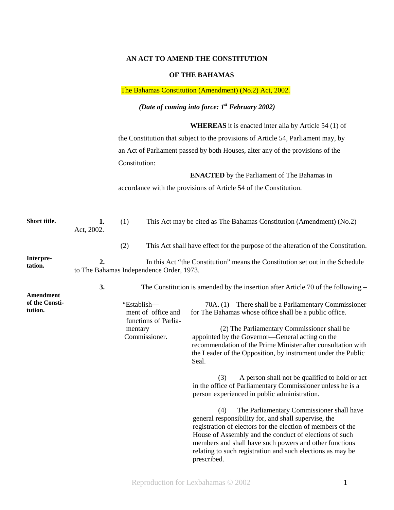## **AN ACT TO AMEND THE CONSTITUTION**

#### **OF THE BAHAMAS**

## The Bahamas Constitution (Amendment) (No.2) Act, 2002.

# *(Date of coming into force: 1st February 2002)*

**WHEREAS** it is enacted inter alia by Article 54 (1) of

the Constitution that subject to the provisions of Article 54, Parliament may, by an Act of Parliament passed by both Houses, alter any of the provisions of the Constitution:

**ENACTED** by the Parliament of The Bahamas in

accordance with the provisions of Article 54 of the Constitution.

| Short title.              | 1.<br>Act, 2002. | (1)                                                                                                                       | This Act may be cited as The Bahamas Constitution (Amendment) (No.2) |                                                                                                                                                                                                                                                                                                                                                                                                                                                                                                                                                                                                                                                                                                                                                                                                                                                                                                              |  |  |
|---------------------------|------------------|---------------------------------------------------------------------------------------------------------------------------|----------------------------------------------------------------------|--------------------------------------------------------------------------------------------------------------------------------------------------------------------------------------------------------------------------------------------------------------------------------------------------------------------------------------------------------------------------------------------------------------------------------------------------------------------------------------------------------------------------------------------------------------------------------------------------------------------------------------------------------------------------------------------------------------------------------------------------------------------------------------------------------------------------------------------------------------------------------------------------------------|--|--|
|                           |                  | (2)                                                                                                                       |                                                                      | This Act shall have effect for the purpose of the alteration of the Constitution.                                                                                                                                                                                                                                                                                                                                                                                                                                                                                                                                                                                                                                                                                                                                                                                                                            |  |  |
| Interpre-<br>tation.      | 2.               | In this Act "the Constitution" means the Constitution set out in the Schedule<br>to The Bahamas Independence Order, 1973. |                                                                      |                                                                                                                                                                                                                                                                                                                                                                                                                                                                                                                                                                                                                                                                                                                                                                                                                                                                                                              |  |  |
| Amendment                 | 3.               |                                                                                                                           |                                                                      | The Constitution is amended by the insertion after Article 70 of the following $-$                                                                                                                                                                                                                                                                                                                                                                                                                                                                                                                                                                                                                                                                                                                                                                                                                           |  |  |
| of the Consti-<br>tution. |                  | "Establish-<br>mentary                                                                                                    | ment of office and<br>functions of Parlia-<br>Commissioner.          | 70A. (1) There shall be a Parliamentary Commissioner<br>for The Bahamas whose office shall be a public office.<br>(2) The Parliamentary Commissioner shall be<br>appointed by the Governor-General acting on the<br>recommendation of the Prime Minister after consultation with<br>the Leader of the Opposition, by instrument under the Public<br>Seal.<br>A person shall not be qualified to hold or act<br>(3)<br>in the office of Parliamentary Commissioner unless he is a<br>person experienced in public administration.<br>The Parliamentary Commissioner shall have<br>(4)<br>general responsibility for, and shall supervise, the<br>registration of electors for the election of members of the<br>House of Assembly and the conduct of elections of such<br>members and shall have such powers and other functions<br>relating to such registration and such elections as may be<br>prescribed. |  |  |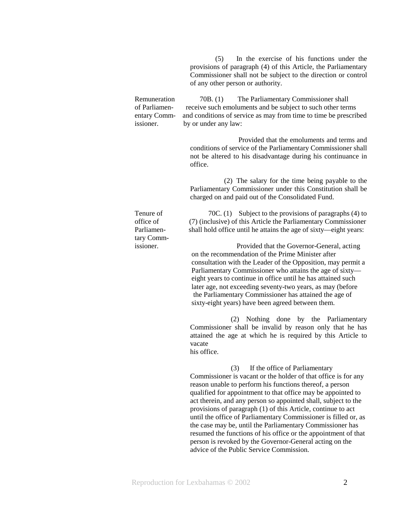(5) In the exercise of his functions under the provisions of paragraph (4) of this Article, the Parliamentary Commissioner shall not be subject to the direction or control of any other person or authority.

Remuneration 70B. (1) The Parliamentary Commissioner shall of Parliamen- receive such emoluments and be subject to such other terms entary Comm- and conditions of service as may from time to time be prescribed issioner. by or under any law:

> Provided that the emoluments and terms and conditions of service of the Parliamentary Commissioner shall not be altered to his disadvantage during his continuance in office.

> (2) The salary for the time being payable to the Parliamentary Commissioner under this Constitution shall be charged on and paid out of the Consolidated Fund.

tary Comm-

Tenure of 70C. (1) Subject to the provisions of paragraphs (4) to office of (7) (inclusive) of this Article the Parliamentary Commissioner Parliamen-<br>shall hold office until he attains the age of sixty—eight years:

 issioner. Provided that the Governor-General, acting on the recommendation of the Prime Minister after consultation with the Leader of the Opposition, may permit a Parliamentary Commissioner who attains the age of sixty eight years to continue in office until he has attained such later age, not exceeding seventy-two years, as may (before the Parliamentary Commissioner has attained the age of sixty-eight years) have been agreed between them.

> (2) Nothing done by the Parliamentary Commissioner shall be invalid by reason only that he has attained the age at which he is required by this Article to vacate his office.

 (3) If the office of Parliamentary Commissioner is vacant or the holder of that office is for any reason unable to perform his functions thereof, a person qualified for appointment to that office may be appointed to act therein, and any person so appointed shall, subject to the provisions of paragraph (1) of this Article, continue to act until the office of Parliamentary Commissioner is filled or, as the case may be, until the Parliamentary Commissioner has resumed the functions of his office or the appointment of that person is revoked by the Governor-General acting on the advice of the Public Service Commission.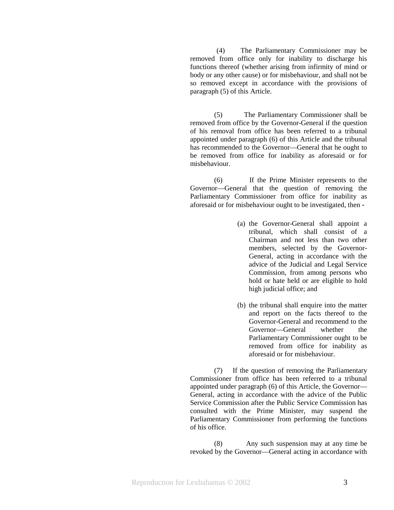(4) The Parliamentary Commissioner may be removed from office only for inability to discharge his functions thereof (whether arising from infirmity of mind or body or any other cause) or for misbehaviour, and shall not be so removed except in accordance with the provisions of paragraph (5) of this Article.

(5) The Parliamentary Commissioner shall be removed from office by the Governor-General if the question of his removal from office has been referred to a tribunal appointed under paragraph (6) of this Article and the tribunal has recommended to the Governor—General that he ought to be removed from office for inability as aforesaid or for misbehaviour.

(6) If the Prime Minister represents to the Governor—General that the question of removing the Parliamentary Commissioner from office for inability as aforesaid or for misbehaviour ought to be investigated, then -

- (a) the Governor-General shall appoint a tribunal, which shall consist of a Chairman and not less than two other members, selected by the Governor-General, acting in accordance with the advice of the Judicial and Legal Service Commission, from among persons who hold or hate held or are eligible to hold high judicial office; and
- (b) the tribunal shall enquire into the matter and report on the facts thereof to the Governor-General and recommend to the Governor—General whether the Parliamentary Commissioner ought to be removed from office for inability as aforesaid or for misbehaviour.

(7) If the question of removing the Parliamentary Commissioner from office has been referred to a tribunal appointed under paragraph (6) of this Article, the Governor— General, acting in accordance with the advice of the Public Service Commission after the Public Service Commission has consulted with the Prime Minister, may suspend the Parliamentary Commissioner from performing the functions of his office.

(8) Any such suspension may at any time be revoked by the Governor—General acting in accordance with